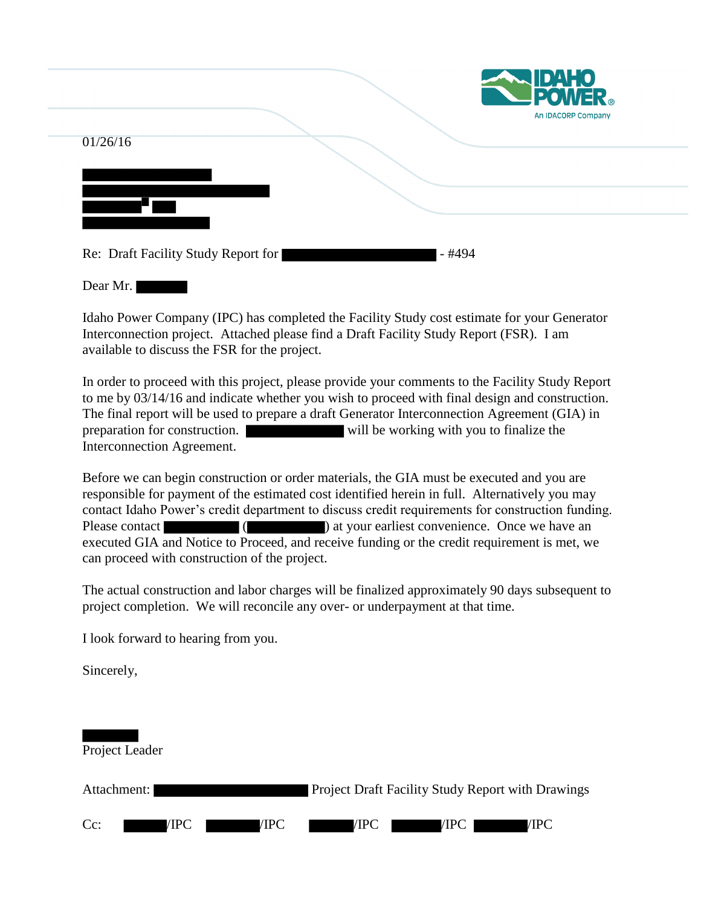|                                     |        | <b>ENDAHO</b><br><b>POWER</b> |
|-------------------------------------|--------|-------------------------------|
| 01/26/16                            |        | An IDACORP Company            |
|                                     |        |                               |
| Re: Draft Facility Study Report for | - #494 |                               |

Dear Mr.

Idaho Power Company (IPC) has completed the Facility Study cost estimate for your Generator Interconnection project. Attached please find a Draft Facility Study Report (FSR). I am available to discuss the FSR for the project.

In order to proceed with this project, please provide your comments to the Facility Study Report to me by 03/14/16 and indicate whether you wish to proceed with final design and construction. The final report will be used to prepare a draft Generator Interconnection Agreement (GIA) in preparation for construction. will be working with you to finalize the Interconnection Agreement.

Before we can begin construction or order materials, the GIA must be executed and you are responsible for payment of the estimated cost identified herein in full. Alternatively you may contact Idaho Power's credit department to discuss credit requirements for construction funding. Please contact ( ) at your earliest convenience. Once we have an executed GIA and Notice to Proceed, and receive funding or the credit requirement is met, we can proceed with construction of the project.

The actual construction and labor charges will be finalized approximately 90 days subsequent to project completion. We will reconcile any over- or underpayment at that time.

I look forward to hearing from you.

Sincerely,

| Project Leader         |                                                          |
|------------------------|----------------------------------------------------------|
| Attachment:            | <b>Project Draft Facility Study Report with Drawings</b> |
| $Cc$ :<br>/IPC<br>/IPC | /IPC<br>/IPC<br>/IPC                                     |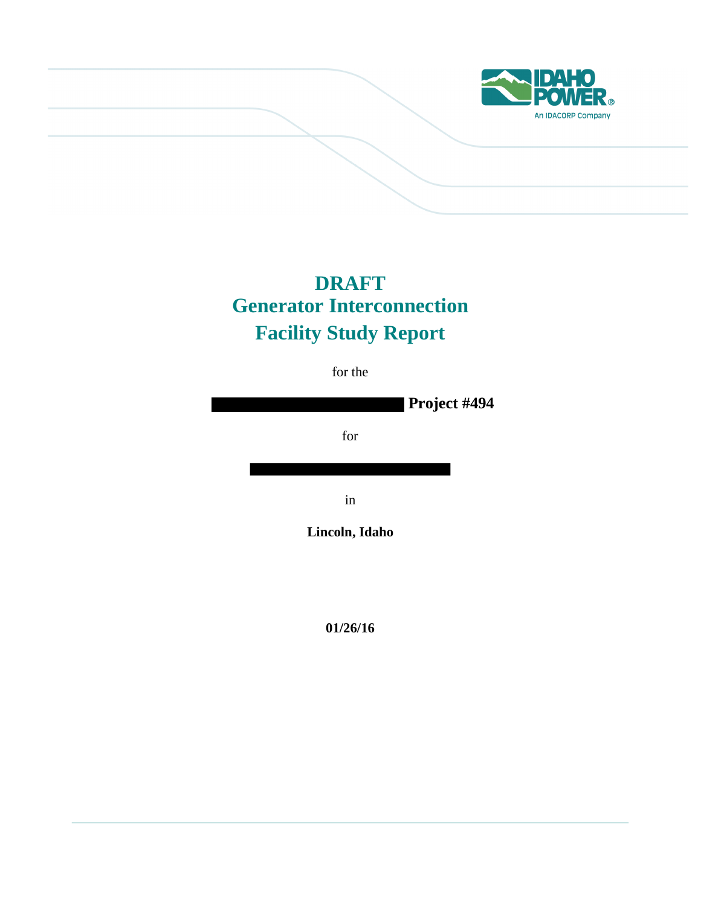

# **DRAFT Generator Interconnection Facility Study Report**

for the

**Project #494** for in **Lincoln, Idaho**

**01/26/16**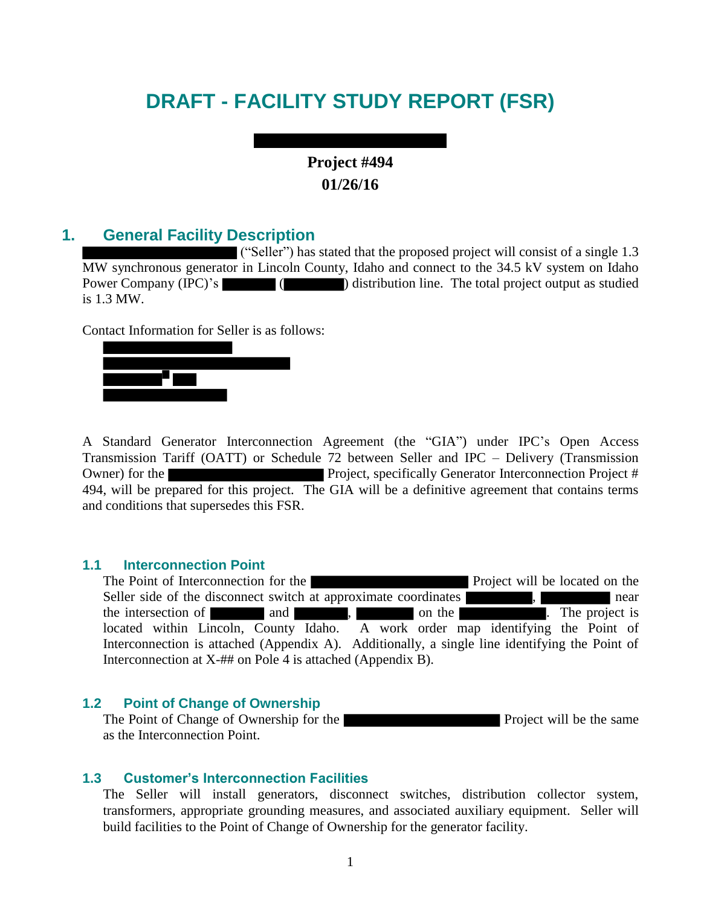# **DRAFT - FACILITY STUDY REPORT (FSR)**

# **Project #494 01/26/16**

## **1. General Facility Description**

("Seller") has stated that the proposed project will consist of a single 1.3 MW synchronous generator in Lincoln County, Idaho and connect to the 34.5 kV system on Idaho Power Company (IPC)'s ( ) distribution line. The total project output as studied is 1.3 MW.

Contact Information for Seller is as follows:



A Standard Generator Interconnection Agreement (the "GIA") under IPC's Open Access Transmission Tariff (OATT) or Schedule 72 between Seller and IPC – Delivery (Transmission Owner) for the **Project**, specifically Generator Interconnection Project # 494, will be prepared for this project. The GIA will be a definitive agreement that contains terms and conditions that supersedes this FSR.

#### **1.1 Interconnection Point**

The Point of Interconnection for the **Project** will be located on the **Project** will be located on the Seller side of the disconnect switch at approximate coordinates **and interval**, **near** near the intersection of and and , and  $\blacksquare$ , on the  $\blacksquare$ . The project is located within Lincoln, County Idaho. A work order map identifying the Point of Interconnection is attached (Appendix A). Additionally, a single line identifying the Point of Interconnection at X-## on Pole 4 is attached (Appendix B).

#### **1.2 Point of Change of Ownership**

The Point of Change of Ownership for the **Project** will be the same as the Interconnection Point.

#### **1.3 Customer's Interconnection Facilities**

The Seller will install generators, disconnect switches, distribution collector system, transformers, appropriate grounding measures, and associated auxiliary equipment. Seller will build facilities to the Point of Change of Ownership for the generator facility.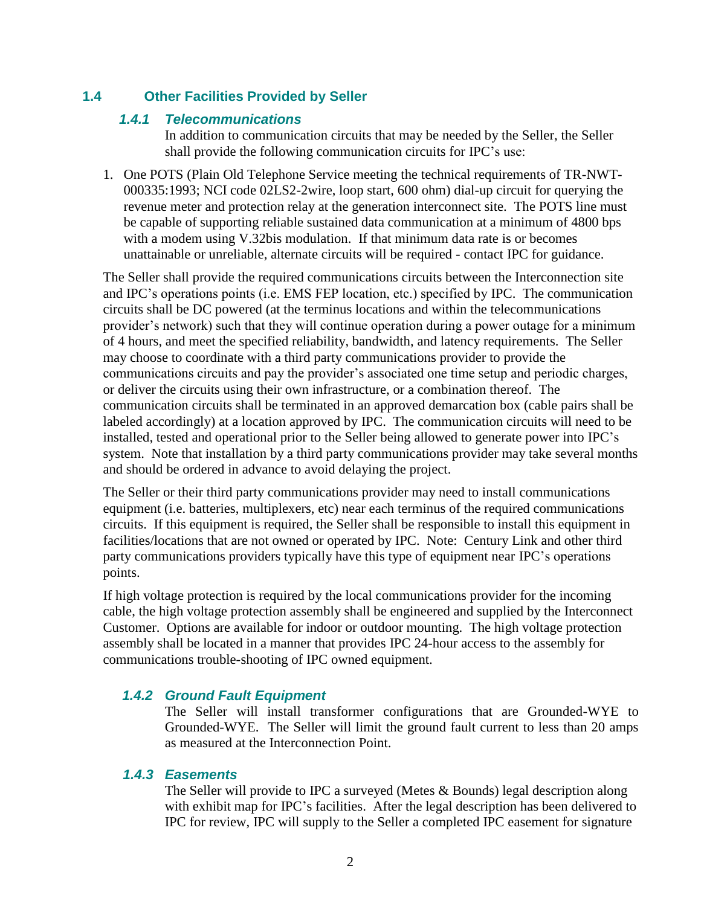## **1.4 Other Facilities Provided by Seller**

#### *1.4.1 Telecommunications*

In addition to communication circuits that may be needed by the Seller, the Seller shall provide the following communication circuits for IPC's use:

1. One POTS (Plain Old Telephone Service meeting the technical requirements of TR-NWT-000335:1993; NCI code 02LS2-2wire, loop start, 600 ohm) dial-up circuit for querying the revenue meter and protection relay at the generation interconnect site. The POTS line must be capable of supporting reliable sustained data communication at a minimum of 4800 bps with a modem using V.32bis modulation. If that minimum data rate is or becomes unattainable or unreliable, alternate circuits will be required - contact IPC for guidance.

The Seller shall provide the required communications circuits between the Interconnection site and IPC's operations points (i.e. EMS FEP location, etc.) specified by IPC. The communication circuits shall be DC powered (at the terminus locations and within the telecommunications provider's network) such that they will continue operation during a power outage for a minimum of 4 hours, and meet the specified reliability, bandwidth, and latency requirements. The Seller may choose to coordinate with a third party communications provider to provide the communications circuits and pay the provider's associated one time setup and periodic charges, or deliver the circuits using their own infrastructure, or a combination thereof. The communication circuits shall be terminated in an approved demarcation box (cable pairs shall be labeled accordingly) at a location approved by IPC. The communication circuits will need to be installed, tested and operational prior to the Seller being allowed to generate power into IPC's system. Note that installation by a third party communications provider may take several months and should be ordered in advance to avoid delaying the project.

The Seller or their third party communications provider may need to install communications equipment (i.e. batteries, multiplexers, etc) near each terminus of the required communications circuits. If this equipment is required, the Seller shall be responsible to install this equipment in facilities/locations that are not owned or operated by IPC. Note: Century Link and other third party communications providers typically have this type of equipment near IPC's operations points.

If high voltage protection is required by the local communications provider for the incoming cable, the high voltage protection assembly shall be engineered and supplied by the Interconnect Customer. Options are available for indoor or outdoor mounting. The high voltage protection assembly shall be located in a manner that provides IPC 24-hour access to the assembly for communications trouble-shooting of IPC owned equipment.

## *1.4.2 Ground Fault Equipment*

The Seller will install transformer configurations that are Grounded-WYE to Grounded-WYE. The Seller will limit the ground fault current to less than 20 amps as measured at the Interconnection Point.

#### *1.4.3 Easements*

The Seller will provide to IPC a surveyed (Metes & Bounds) legal description along with exhibit map for IPC's facilities. After the legal description has been delivered to IPC for review, IPC will supply to the Seller a completed IPC easement for signature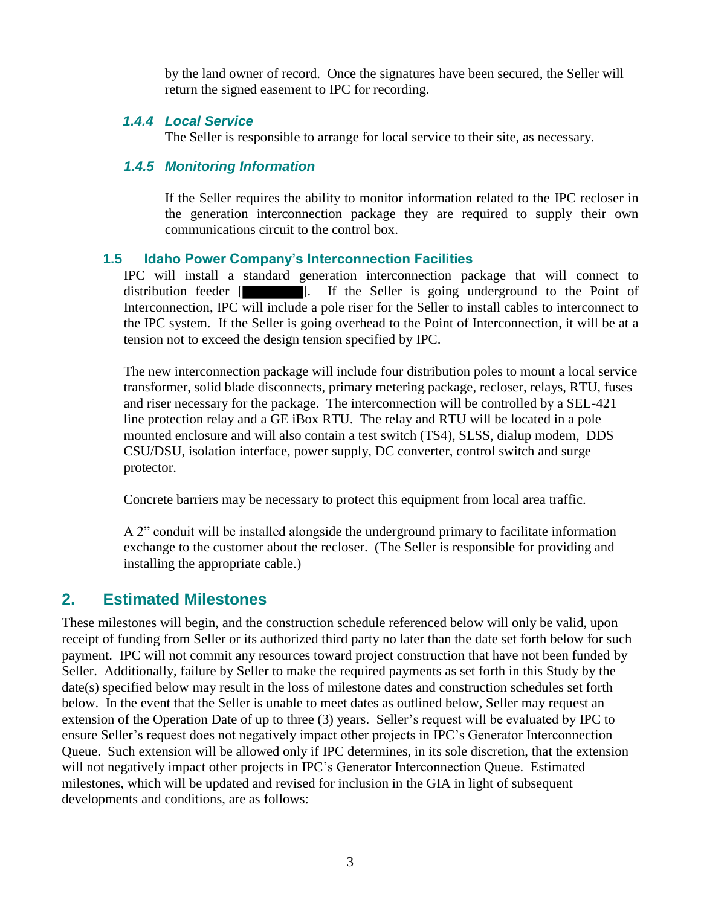by the land owner of record. Once the signatures have been secured, the Seller will return the signed easement to IPC for recording.

### *1.4.4 Local Service*

The Seller is responsible to arrange for local service to their site, as necessary.

## *1.4.5 Monitoring Information*

If the Seller requires the ability to monitor information related to the IPC recloser in the generation interconnection package they are required to supply their own communications circuit to the control box.

## **1.5 Idaho Power Company's Interconnection Facilities**

IPC will install a standard generation interconnection package that will connect to distribution feeder **[ ]**. If the Seller is going underground to the Point of Interconnection, IPC will include a pole riser for the Seller to install cables to interconnect to the IPC system. If the Seller is going overhead to the Point of Interconnection, it will be at a tension not to exceed the design tension specified by IPC.

The new interconnection package will include four distribution poles to mount a local service transformer, solid blade disconnects, primary metering package, recloser, relays, RTU, fuses and riser necessary for the package. The interconnection will be controlled by a SEL-421 line protection relay and a GE iBox RTU. The relay and RTU will be located in a pole mounted enclosure and will also contain a test switch (TS4), SLSS, dialup modem, DDS CSU/DSU, isolation interface, power supply, DC converter, control switch and surge protector.

Concrete barriers may be necessary to protect this equipment from local area traffic.

A 2" conduit will be installed alongside the underground primary to facilitate information exchange to the customer about the recloser. (The Seller is responsible for providing and installing the appropriate cable.)

## **2. Estimated Milestones**

These milestones will begin, and the construction schedule referenced below will only be valid, upon receipt of funding from Seller or its authorized third party no later than the date set forth below for such payment. IPC will not commit any resources toward project construction that have not been funded by Seller. Additionally, failure by Seller to make the required payments as set forth in this Study by the date(s) specified below may result in the loss of milestone dates and construction schedules set forth below. In the event that the Seller is unable to meet dates as outlined below, Seller may request an extension of the Operation Date of up to three (3) years. Seller's request will be evaluated by IPC to ensure Seller's request does not negatively impact other projects in IPC's Generator Interconnection Queue. Such extension will be allowed only if IPC determines, in its sole discretion, that the extension will not negatively impact other projects in IPC's Generator Interconnection Queue. Estimated milestones, which will be updated and revised for inclusion in the GIA in light of subsequent developments and conditions, are as follows: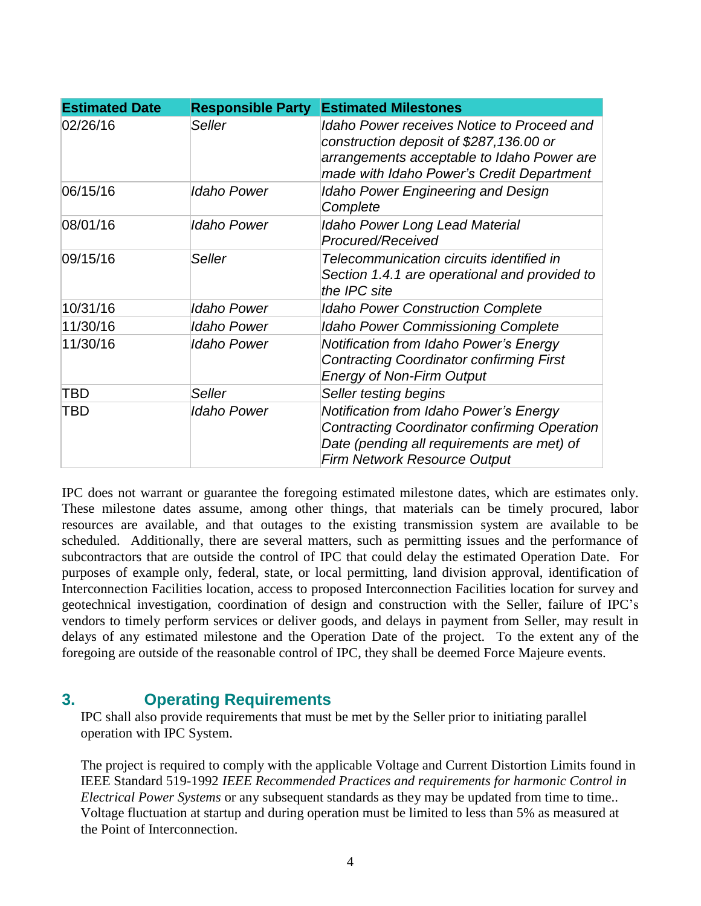| <b>Estimated Date</b> | <b>Responsible Party</b> | <b>Estimated Milestones</b>                                                                                                                                                             |
|-----------------------|--------------------------|-----------------------------------------------------------------------------------------------------------------------------------------------------------------------------------------|
| 02/26/16              | Seller                   | <b>Idaho Power receives Notice to Proceed and</b><br>construction deposit of \$287,136.00 or<br>arrangements acceptable to Idaho Power are<br>made with Idaho Power's Credit Department |
| 06/15/16              | Idaho Power              | <b>Idaho Power Engineering and Design</b><br>Complete                                                                                                                                   |
| 08/01/16              | <b>Idaho Power</b>       | Idaho Power Long Lead Material<br>Procured/Received                                                                                                                                     |
| 09/15/16              | Seller                   | Telecommunication circuits identified in<br>Section 1.4.1 are operational and provided to<br>the IPC site                                                                               |
| 10/31/16              | <b>Idaho Power</b>       | <b>Idaho Power Construction Complete</b>                                                                                                                                                |
| 11/30/16              | <b>Idaho Power</b>       | <b>Idaho Power Commissioning Complete</b>                                                                                                                                               |
| 11/30/16              | Idaho Power              | Notification from Idaho Power's Energy<br><b>Contracting Coordinator confirming First</b><br><b>Energy of Non-Firm Output</b>                                                           |
| TBD                   | Seller                   | Seller testing begins                                                                                                                                                                   |
| TBD                   | Idaho Power              | Notification from Idaho Power's Energy<br><b>Contracting Coordinator confirming Operation</b><br>Date (pending all requirements are met) of<br><b>Firm Network Resource Output</b>      |

IPC does not warrant or guarantee the foregoing estimated milestone dates, which are estimates only. These milestone dates assume, among other things, that materials can be timely procured, labor resources are available, and that outages to the existing transmission system are available to be scheduled. Additionally, there are several matters, such as permitting issues and the performance of subcontractors that are outside the control of IPC that could delay the estimated Operation Date. For purposes of example only, federal, state, or local permitting, land division approval, identification of Interconnection Facilities location, access to proposed Interconnection Facilities location for survey and geotechnical investigation, coordination of design and construction with the Seller, failure of IPC's vendors to timely perform services or deliver goods, and delays in payment from Seller, may result in delays of any estimated milestone and the Operation Date of the project. To the extent any of the foregoing are outside of the reasonable control of IPC, they shall be deemed Force Majeure events.

# **3. Operating Requirements**

IPC shall also provide requirements that must be met by the Seller prior to initiating parallel operation with IPC System.

The project is required to comply with the applicable Voltage and Current Distortion Limits found in IEEE Standard 519-1992 *IEEE Recommended Practices and requirements for harmonic Control in Electrical Power Systems* or any subsequent standards as they may be updated from time to time.. Voltage fluctuation at startup and during operation must be limited to less than 5% as measured at the Point of Interconnection.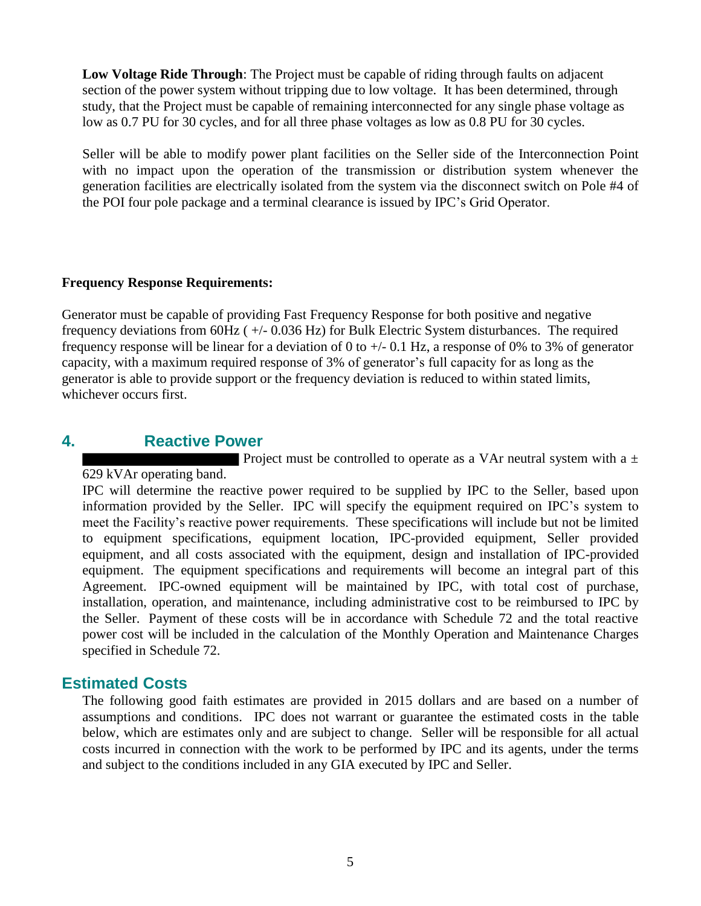**Low Voltage Ride Through**: The Project must be capable of riding through faults on adjacent section of the power system without tripping due to low voltage. It has been determined, through study, that the Project must be capable of remaining interconnected for any single phase voltage as low as 0.7 PU for 30 cycles, and for all three phase voltages as low as 0.8 PU for 30 cycles.

Seller will be able to modify power plant facilities on the Seller side of the Interconnection Point with no impact upon the operation of the transmission or distribution system whenever the generation facilities are electrically isolated from the system via the disconnect switch on Pole #4 of the POI four pole package and a terminal clearance is issued by IPC's Grid Operator.

#### **Frequency Response Requirements:**

Generator must be capable of providing Fast Frequency Response for both positive and negative frequency deviations from 60Hz ( +/- 0.036 Hz) for Bulk Electric System disturbances. The required frequency response will be linear for a deviation of 0 to +/- 0.1 Hz, a response of 0% to 3% of generator capacity, with a maximum required response of 3% of generator's full capacity for as long as the generator is able to provide support or the frequency deviation is reduced to within stated limits, whichever occurs first.

## **4. Reactive Power**

Project must be controlled to operate as a VAr neutral system with a  $\pm$ 

629 kVAr operating band.

IPC will determine the reactive power required to be supplied by IPC to the Seller, based upon information provided by the Seller. IPC will specify the equipment required on IPC's system to meet the Facility's reactive power requirements. These specifications will include but not be limited to equipment specifications, equipment location, IPC-provided equipment, Seller provided equipment, and all costs associated with the equipment, design and installation of IPC-provided equipment. The equipment specifications and requirements will become an integral part of this Agreement. IPC-owned equipment will be maintained by IPC, with total cost of purchase, installation, operation, and maintenance, including administrative cost to be reimbursed to IPC by the Seller. Payment of these costs will be in accordance with Schedule 72 and the total reactive power cost will be included in the calculation of the Monthly Operation and Maintenance Charges specified in Schedule 72.

## **Estimated Costs**

The following good faith estimates are provided in 2015 dollars and are based on a number of assumptions and conditions. IPC does not warrant or guarantee the estimated costs in the table below, which are estimates only and are subject to change. Seller will be responsible for all actual costs incurred in connection with the work to be performed by IPC and its agents, under the terms and subject to the conditions included in any GIA executed by IPC and Seller.